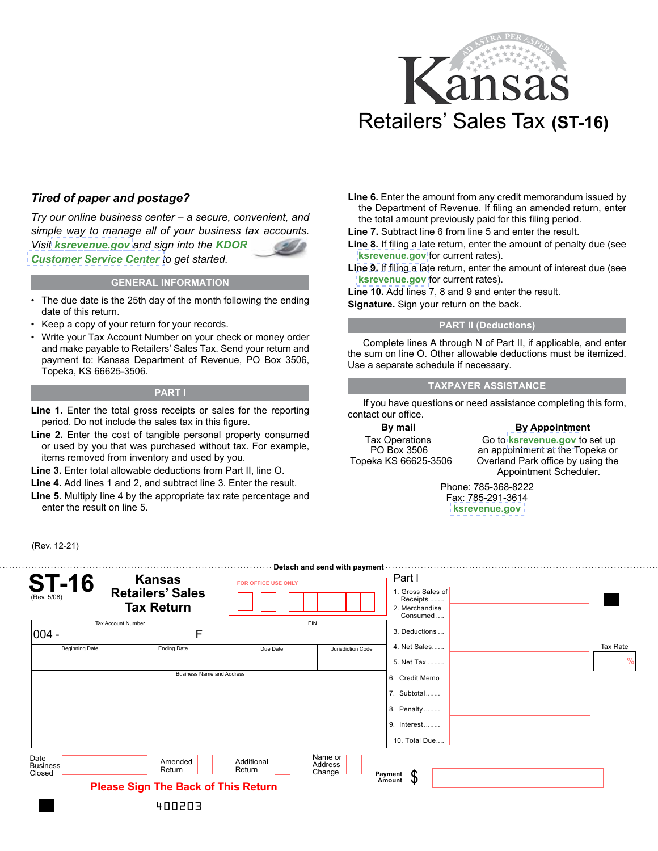

# *Tired of paper and postage?*

*Try our online business center – a secure, convenient, and simple way to manage all of your business tax accounts. Visit [ksrevenue.gov](https://www.kdor.ks.gov/Apps/kcsc/login.aspx) and sign into the KDOR*  **[Customer Service Center](https://www.kdor.ks.gov/Apps/kcsc/login.aspx) to get started.** 

#### **GENERAL INFORMATION**

- The due date is the 25th day of the month following the ending date of this return.
- Keep a copy of your return for your records.
- Write your Tax Account Number on your check or money order and make payable to Retailers' Sales Tax. Send your return and payment to: Kansas Department of Revenue, PO Box 3506, Topeka, KS 66625-3506.

#### **PART I**

- Line 1. Enter the total gross receipts or sales for the reporting period. Do not include the sales tax in this figure.
- **Line 2.** Enter the cost of tangible personal property consumed or used by you that was purchased without tax. For example, items removed from inventory and used by you.
- **Line 3.** Enter total allowable deductions from Part II, line O.

(Rev. 12-21)

- **Line 4.** Add lines 1 and 2, and subtract line 3. Enter the result.
- **Line 5.** Multiply line 4 by the appropriate tax rate percentage and enter the result on line 5.

**Line 6.** Enter the amount from any credit memorandum issued by the Department of Revenue. If filing an amended return, enter the total amount previously paid for this filing period.

**Line 7.** Subtract line 6 from line 5 and enter the result.

- **Line 8.** If filing a late return, enter the amount of penalty due (see **[ksrevenue.gov](https://www.ksrevenue.gov/pandi.html)** for current rates).
- **Line 9.** If filing a late return, enter the amount of interest due (see **[ksrevenue.gov](https://www.ksrevenue.gov/pandi.html)** for current rates).

**Line 10.** Add lines 7, 8 and 9 and enter the result.

**Signature.** Sign your return on the back.

### **PART II (Deductions)**

Complete lines A through N of Part II, if applicable, and enter the sum on line O. Other allowable deductions must be itemized. Use a separate schedule if necessary.

## **TAXPAYER ASSISTANCE**

If you have questions or need assistance completing this form, contact our office.

**By mail**  Tax Operations PO Box 3506 Topeka KS 66625-3506

**By Appointment** Go to **[ksrevenue.gov](https://www.kdor.ks.gov/Apps/AppointmentScheduler/ApptSchedule/Times?locType=TAX)** to set up an appointment at the Topeka or Overland Park office by using the Appointment Scheduler.

Phone: 785-368-8222 Fax: 785-291-3614 **[ksrevenue.gov](https://www.ksrevenue.gov/taxbuscontact.html)**

| <b>ST-16</b><br>(Rev. 5/08)       | <b>Kansas</b><br><b>Retailers' Sales</b><br><b>Tax Return</b>   | <b>FOR OFFICE USE ONLY</b> | · Detach and send with payment · | Part I<br>1. Gross Sales of<br>Receipts<br>2. Merchandise<br>Consumed       |                           |
|-----------------------------------|-----------------------------------------------------------------|----------------------------|----------------------------------|-----------------------------------------------------------------------------|---------------------------|
| Tax Account Number                |                                                                 | EIN                        |                                  | 3. Deductions                                                               |                           |
| $ 004 -$<br><b>Beginning Date</b> | F<br><b>Ending Date</b>                                         | Due Date                   | Jurisdiction Code                | 4. Net Sales<br>5. Net Tax                                                  | Tax Rate<br>$\frac{0}{0}$ |
|                                   | <b>Business Name and Address</b>                                |                            |                                  | 6. Credit Memo<br>7. Subtotal<br>8. Penalty<br>9. Interest<br>10. Total Due |                           |
| Date<br><b>Business</b><br>Closed | Amended<br>Return<br><b>Please Sign The Back of This Return</b> | Additional<br>Return       | Name or<br>Address<br>Change     | Payment<br>\$<br>Amount                                                     |                           |
|                                   | 400203                                                          |                            |                                  |                                                                             |                           |